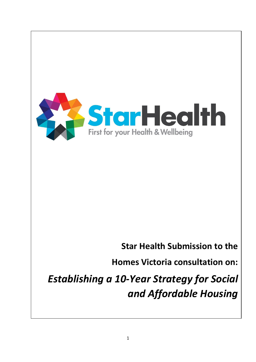

# **Star Health Submission to the**

**Homes Victoria consultation on:**

*Establishing a 10-Year Strategy for Social and Affordable Housing*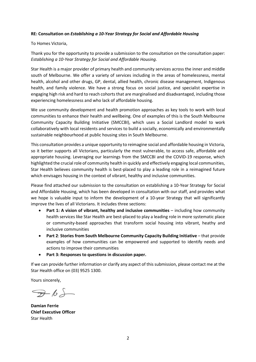#### **RE: Consultation on** *Establishing a 10-Year Strategy for Social and Affordable Housing*

#### To Homes Victoria,

Thank you for the opportunity to provide a submission to the consultation on the consultation paper: *Establishing a 10-Year Strategy for Social and Affordable Housing*.

Star Health is a major provider of primary health and community services across the inner and middle south of Melbourne. We offer a variety of services including in the areas of homelessness, mental health, alcohol and other drugs, GP, dental, allied health, chronic disease management, Indigenous health, and family violence. We have a strong focus on social justice, and specialist expertise in engaging high risk and hard to reach cohorts that are marginalised and disadvantaged, including those experiencing homelessness and who lack of affordable housing.

We use community development and health promotion approaches as key tools to work with local communities to enhance their health and wellbeing. One of examples of this is the South Melbourne Community Capacity Building Initiative (SMCCBI), which uses a Social Landlord model to work collaboratively with local residents and services to build a socially, economically and environmentally sustainable neighbourhood at public housing sites in South Melbourne.

This consultation provides a unique opportunity to reimagine social and affordable housing in Victoria, so it better supports all Victorians, particularly the most vulnerable, to access safe, affordable and appropriate housing. Leveraging our learnings from the SMCCBI and the COVID-19 response, which highlighted the crucial role of community health in quickly and effectively engaging local communities, Star Health believes community health is best-placed to play a leading role in a reimagined future which envisages housing in the context of vibrant, healthy and inclusive communities.

Please find attached our submission to the consultation on establishing a 10-Year Strategy for Social and Affordable Housing, which has been developed in consultation with our staff, and provides what we hope is valuable input to inform the development of a 10-year Strategy that will significantly improve the lives of all Victorians. It includes three sections:

- **Part 1: A vision of vibrant, healthy and inclusive communities** including how community health services like Star Health are best-placed to play a leading role in more systematic place or community-based approaches that transform social housing into vibrant, heathy and inclusive communities
- **Part 2**: **Stories from South Melbourne Community Capacity Building Initiative** that provide examples of how communities can be empowered and supported to identify needs and actions to improve their communities
- **Part 3: Responses to questions in discussion paper.**

If we can provide further information or clarify any aspect of this submission, please contact me at the Star Health office on (03) 9525 1300.

Yours sincerely,

 $7-65$ 

**Damian Ferrie Chief Executive Officer** Star Health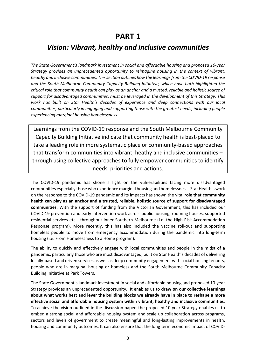# **PART 1**

# *Vision: Vibrant, healthy and inclusive communities*

*The State Government's landmark investment in social and affordable housing and proposed 10-year Strategy provides an unprecedented opportunity to reimagine housing in the context of vibrant, healthy and inclusive communities. This section outlines how the learnings from the COVID-19 response and the South Melbourne Community Capacity Building Initiative, which have both highlighted the critical role that community health can play as an anchor and a trusted, reliable and holistic source of support for disadvantaged communities, must be leveraged in the development of this Strategy. This work has built on Star Health's decades of experience and deep connections with our local communities, particularly in engaging and supporting those with the greatest needs, including people experiencing marginal housing homelessness.*

Learnings from the COVID-19 response and the South Melbourne Community Capacity Building Initiative indicate that community health is best-placed to take a leading role in more systematic place or community-based approaches that transform communities into vibrant, heathy and inclusive communities – through using collective approaches to fully empower communities to identify needs, priorities and actions.

The COVID-19 pandemic has shone a light on the vulnerabilities facing more disadvantaged communities especially those who experience marginal housing and homelessness. Star Health's work on the response to the COVID-19 pandemic and its impacts has shown the vital **role that community health can play as an anchor and a trusted, reliable, holistic source of support for disadvantaged communities**. With the support of funding from the Victorian Government, this has included our COVID-19 prevention and early intervention work across public housing, rooming houses, supported residential services etc… throughout inner Southern Melbourne (i.e. the High Risk Accommodation Response program). More recently, this has also included the vaccine roll-out and supporting homeless people to move from emergency accommodation during the pandemic into long-term housing (i.e. From Homelessness to a Home program).

The ability to quickly and effectively engage with local communities and people in the midst of a pandemic, particularly those who are most disadvantaged, built on Star Health's decades of delivering locally-based and driven services as well as deep community engagement with social housing tenants, people who are in marginal housing or homeless and the South Melbourne Community Capacity Building Initiative at Park Towers.

The State Government's landmark investment in social and affordable housing and proposed 10-year Strategy provides an unprecedented opportunity. It enables us to **draw on our collective learnings about what works best and lever the building blocks we already have in place to reshape a more effective social and affordable housing system within vibrant, healthy and inclusive communities**. To achieve the vision outlined in the discussion paper, the proposed 10-year Strategy enables us to embed a strong social and affordable housing system and scale up collaboration across programs, sectors and levels of government to create meaningful and long-lasting improvements in health, housing and community outcomes. It can also ensure that the long term economic impact of COVID-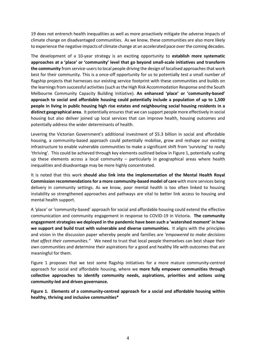19 does not entrench health inequalities as well as more proactively mitigate the adverse impacts of climate change on disadvantaged communities. As we know, these communities are also more likely to experience the negative impacts of climate change at an accelerated pace over the coming decades.

The development of a 10-year strategy is an exciting opportunity to **establish more systematic approaches at a 'place' or 'community' level that go beyond small-scale initiatives and transform the community** from service-users to local people driving the design of localised approaches that work best for their community. This is a once-off opportunity for us to potentially test a small number of flagship projects that harnesses our existing service footprint with these communities and builds on the learnings from successful activities (such as the High Risk Accommodation Response and the South Melbourne Community Capacity Building Initiative). **An enhanced 'place' or 'community-based' approach to social and affordable housing could potentially include a population of up to 1,500 people in living in public housing high rise estates and neighbouring social housing residents in a distinct geographical area**. It potentially ensures that we can support people more effectively in social housing but also deliver joined up local services that can improve health, housing outcomes and potentially address the wider determinants of health.

Levering the Victorian Government's additional investment of \$5.3 billion in social and affordable housing, a community-based approach could potentially mobilise, grow and reshape our existing infrastructure to enable vulnerable communities to make a significant shift from 'surviving' to really 'thriving'. This could be achieved through key elements outlined below in Figure 1, potentially scaling up these elements across a local community – particularly in geographical areas where health inequalities and disadvantage may be more highly concentrated.

It is noted that this work **should also link into the implementation of the Mental Health Royal Commission recommendations for a more community-based model of care** with more services being delivery in community settings. As we know, poor mental health is too often linked to housing instability so strengthened approaches and pathways are vital to better link access to housing and mental health support.

A 'place' or 'community-based' approach for social and affordable housing could extend the effective communication and community engagement in response to COVID-19 in Victoria. **The community engagement strategies we deployed in the pandemic have been such a 'watershed moment' in how we support and build trust with vulnerable and diverse communities.** It aligns with the principles and vision in the discussion paper whereby people and families are *'empowered to make decisions that affect their communities."* We need to trust that local people themselves can best shape their own communities and determine their aspirations for a good and healthy life with outcomes that are meaningful for them.

Figure 1 proposes that we test some flagship initiatives for a more mature community-centred approach for social and affordable housing, where we **more fully empower communities through collective approaches to identify community needs, aspirations, priorities and actions using community-led and driven governance.**

**Figure 1. Elements of a community-centred approach for a social and affordable housing within healthy, thriving and inclusive communities\***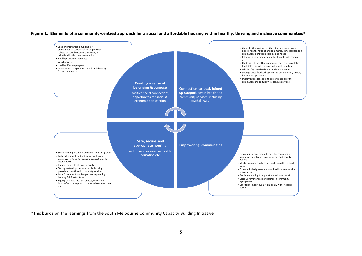#### **Figure 1. Elements of a community-centred approach for a social and affordable housing within healthy, thriving and inclusive communities\***



\*This builds on the learnings from the South Melbourne Community Capacity Building Initiative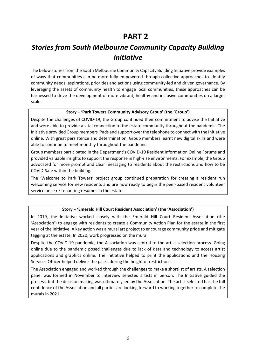# **PART 2**

# *Stories from South Melbourne Community Capacity Building Initiative*

The below stories from the South Melbourne Community Capacity Building Initiative provide examples of ways that communities can be more fully empowered through collective approaches to identify community needs, aspirations, priorities and actions using community-led and driven governance. By leveraging the assets of community health to engage local communities, these approaches can be harnessed to drive the development of more vibrant, healthy and inclusive communities on a larger scale.

### **Story – 'Park Towers Community Advisory Group' (the 'Group')**

Despite the challenges of COVID-19, the Group continued their commitment to advise the Initiative and were able to provide a vital connection to the estate community throughout the pandemic. The Initiative provided Group members iPads and support over the telephone to connect with the Initiative online. With great persistence and determination, Group members learnt new digital skills and were able to continue to meet monthly throughout the pandemic.

Group members participated in the Department's COVID-19 Resident Information Online Forums and provided valuable insights to support the response in high-rise environments. For example, the Group advocated for more prompt and clear messaging to residents about the restrictions and how to be COVID-Safe within the building.

The 'Welcome to Park Towers' project group continued preparation for creating a resident run welcoming service for new residents and are now ready to begin the peer-based resident volunteer service once re-tenanting resumes in the estate.

#### **Story – 'Emerald Hill Court Resident Association' (the 'Association')**

In 2019, the Initiative worked closely with the Emerald Hill Court Resident Association (the 'Association') to engage with residents to create a Community Action Plan for the estate in the first year of the Initiative. A key action was a mural art project to encourage community pride and mitigate tagging at the estate. In 2020, work progressed on the mural.

Despite the COVID-19 pandemic, the Association was central to the artist selection process. Going online due to the pandemic posed challenges due to lack of data and technology to access artist applications and graphics online. The Initiative helped to print the applications and the Housing Services Officer helped deliver the packs during the height of restrictions.

The Association engaged and worked through the challenges to make a shortlist of artists. A selection panel was formed in November to interview selected artists in person. The Initiative guided the process, but the decision making was ultimately led by the Association. The artist selected has the full confidence of the Association and all parties are looking forward to working together to complete the murals in 2021.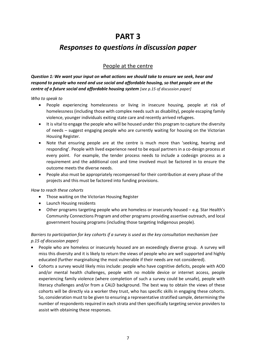# **PART 3**

# *Responses to questions in discussion paper*

# People at the centre

*Question 1: We want your input on what actions we should take to ensure we seek, hear and respond to people who need and use social and affordable housing, so that people are at the centre of a future social and affordable housing system [see p.15 of discussion paper]*

### *Who to speak to*

- People experiencing homelessness or living in insecure housing, people at risk of homelessness (including those with complex needs such as disability), people escaping family violence, younger individuals exiting state care and recently arrived refugees.
- It is vital to engage the people who will be housed under this program to capture the diversity of needs – suggest engaging people who are currently waiting for housing on the Victorian Housing Register.
- Note that ensuring people are at the centre is much more than 'seeking, hearing and responding'. People with lived experience need to be equal partners in a co-design process at every point. For example, the tender process needs to include a codesign process as a requirement and the additional cost and time involved must be factored in to ensure the outcome meets the diverse needs.
- People also must be appropriately recompensed for their contribution at every phase of the projects and this must be factored into funding provisions.

### *How to reach these cohorts*

- Those waiting on the Victorian Housing Register
- Launch Housing residents
- Other programs targeting people who are homeless or insecurely housed e.g. Star Health's Community Connections Program and other programs providing assertive outreach, and local government housing programs (including those targeting Indigenous people).

# *Barriers to participation for key cohorts if a survey is used as the key consultation mechanism (see p.15 of discussion paper)*

- People who are homeless or insecurely housed are an exceedingly diverse group. A survey will miss this diversity and it is likely to return the views of people who are well supported and highly educated (further marginalising the most vulnerable if their needs are not considered).
- Cohorts a survey would likely miss include: people who have cognitive deficits, people with AOD and/or mental health challenges, people with no mobile device or internet access, people experiencing family violence (where completion of such a survey could be unsafe), people with literacy challenges and/or from a CALD background. The best way to obtain the views of these cohorts will be directly via a worker they trust, who has specific skills in engaging these cohorts. So, consideration must to be given to ensuring a representative stratified sample, determining the number of respondents required in each strata and then specifically targeting service providers to assist with obtaining these responses.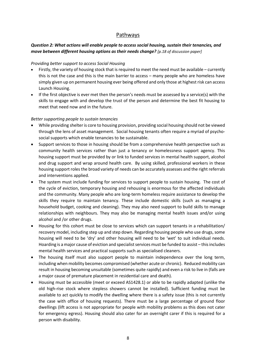# Pathways

## *Question 2: What actions will enable people to access social housing, sustain their tenancies, and move between different housing options as their needs change? [p.18 of discussion paper]*

#### *Providing better support to access Social Housing*

- Firstly, the variety of housing stock that is required to meet the need must be available currently this is not the case and this is the main barrier to access – many people who are homeless have simply given up on permanent housing ever being offered and only those at highest risk can access Launch Housing.
- If the first objective is ever met then the person's needs must be assessed by a service(s) with the skills to engage with and develop the trust of the person and determine the best fit housing to meet that need now and in the future.

### *Better supporting people to sustain tenancies*

- While providing shelter is core to housing provision, providing social housing should not be viewed through the lens of asset management. Social housing tenants often require a myriad of psychosocial supports which enable tenancies to be sustainable.
- Support services to those in housing should be from a comprehensive health perspective such as community health services rather than just a tenancy or homelessness support agency. This housing support must be provided by or link to funded services in mental health support, alcohol and drug support and wrap around health care. By using skilled, professional workers in these housing support roles the broad variety of needs can be accurately assesses and the right referrals and interventions applied.
- The system must include funding for services to support people to sustain housing. The cost of the cycle of eviction, temporary housing and rehousing is enormous for the affected individuals and the community. Many people who are long-term homeless require assistance to develop the skills they require to maintain tenancy. These include domestic skills (such as managing a household budget, cooking and cleaning). They may also need support to build skills to manage relationships with neighbours. They may also be managing mental health issues and/or using alcohol and /or other drugs.
- Housing for this cohort must be close to services which can support tenants in a rehabilitation/ recovery model, including step up and step down. Regarding housing people who use drugs, some housing will need to be 'dry' and other housing will need to be 'wet' to suit individual needs. Hoarding is a major cause of eviction and specialist services must be funded to assist – this includes mental health services and practical supports such as specialised cleaners.
- The housing itself must also support people to maintain independence over the long term, including when mobility becomes compromised (whether acute or chronic). Reduced mobility can result in housing becoming unsuitable (sometimes quite rapidly) and even a risk to live in (falls are a major cause of premature placement in residential care and death).
- Housing must be accessible (meet or exceed AS1428.1) or able to be rapidly adapted (unlike the old high-rise stock where stepless showers cannot be installed). Sufficient funding must be available to act quickly to modify the dwelling where there is a safety issue (this is not currently the case with office of housing requests). There must be a large percentage of ground floor dwellings (lift access is not appropriate for people with mobility problems as this does not cater for emergency egress). Housing should also cater for an overnight carer if this is required for a person with disability.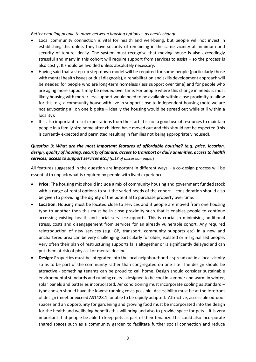*Better enabling people to move between housing options – as needs change*

- Local community connection is vital for health and well-being, but people will not invest in establishing this unless they have security of remaining in the same vicinity at minimum and security of tenure ideally. The system must recognise that moving house is also exceedingly stressful and many in this cohort will require support from services to assist – so the process is also costly. It should be avoided unless absolutely necessary.
- Having said that a step-up step-down model will be required for some people (particularly those with mental health issues or dual diagnosis), a rehabilitation and skills development approach will be needed for people who are long-term homeless (less support over time) and for people who are aging more support may be needed over time. For people where this change in needs is most likely housing with more / less support would need to be available within close proximity to allow for this, e.g. a community house with live in support close to independent housing (note we are not advocating all on one big site – ideally the housing would be spread out while still within a locality).
- It is also important to set expectations from the start. It is not a good use of resources to maintain people in a family-size home after children have moved out and this should not be expected (this is currently expected and permitted resulting in families not being appropriately housed).

## *Question 3: What are the most important features of affordable housing? (e.g. price, location, design, quality of housing, security of tenure, access to transport or daily amenities, access to health services, access to support services etc.) [p.18 of discussion paper]*

All features suggested in the question are important in different ways – a co-design process will be essential to unpack what is required by people with lived experience.

- **Price**: The housing mix should include a mix of community housing and government funded stock with a range of rental options to suit the varied needs of the cohort – consideration should also be given to providing the dignity of the potential to purchase property over time.
- **Location**: Housing must be located close to services and if people are moved from one housing type to another then this must be in close proximity such that it enables people to continue accessing existing health and social services/supports. This is crucial in minimising additional stress, costs and disengagement from services for an already vulnerable cohort. Any required reintroduction of new services (e.g. GP, transport, community supports etc) in a new and unchartered area can be very challenging particularly for older, isolated or marginalised people. Very often their plan of restructuring supports fails altogether or is significantly delayed and can put them at risk of physical or mental decline.
- **Design**: Properties must be integrated into the local neighbourhood spread out in a local vicinity so as to be part of the community rather than congregated on one site. The design should be attractive - something tenants can be proud to call home. Design should consider sustainable environmental standards and running costs – designed to be cool in summer and warm in winter, solar panels and batteries incorporated. Air conditioning must incorporate cooling as standard – type chosen should have the lowest running costs possible. Accessibility must be at the forefront of design (meet or exceed AS1428.1) or able to be rapidly adapted. Attractive, accessible outdoor spaces and an opportunity for gardening and growing food must be incorporated into the design for the health and wellbeing benefits this will bring and also to provide space for pets – it is very important that people be able to keep pets as part of their tenancy. This could also incorporate shared spaces such as a community garden to facilitate further social connection and reduce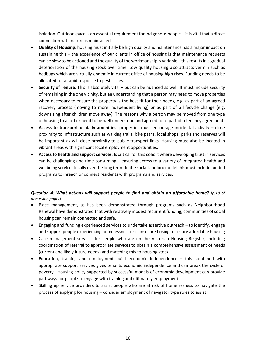isolation. Outdoor space is an essential requirement for Indigenous people – it is vital that a direct connection with nature is maintained.

- **Quality of Housing**: housing must initially be high quality and maintenance has a major impact on sustaining this – the experience of our clients in office of housing is that maintenance requests can be slow to be actioned and the quality of the workmanship is variable – this results in a gradual deterioration of the housing stock over time. Low quality housing also attracts vermin such as bedbugs which are virtually endemic in current office of housing high rises. Funding needs to be allocated for a rapid response to pest issues.
- **Security of Tenure**: This is absolutely vital but can be nuanced as well. It must include security of remaining in the one vicinity, but an understanding that a person may need to move properties when necessary to ensure the property is the best fit for their needs, e.g. as part of an agreed recovery process (moving to more independent living) or as part of a lifecycle change (e.g. downsizing after children move away). The reasons why a person may be moved from one type of housing to another need to be well understood and agreed to as part of a tenancy agreement.
- **Access to transport or daily amenities**: properties must encourage incidental activity close proximity to infrastructure such as walking trails, bike paths, local shops, parks and reserves will be important as will close proximity to public transport links. Housing must also be located in vibrant areas with significant local employment opportunities.
- **Access to health and support services**: Is critical for this cohort where developing trust in services can be challenging and time consuming – ensuring access to a variety of integrated health and wellbeing services locally over the long term. In the social landlord model this must include funded programs to inreach or connect residents with programs and services.

# *Question 4: What actions will support people to find and obtain an affordable home? [p.18 of discussion paper]*

- Place management, as has been demonstrated through programs such as Neighbourhood Renewal have demonstrated that with relatively modest recurrent funding, communities of social housing can remain connected and safe.
- Engaging and funding experienced services to undertake assertive outreach to identify, engage and support people experiencing homelessness or in insecure hosing to secure affordable housing
- Case management services for people who are on the Victorian Housing Register, including coordination of referral to appropriate services to obtain a comprehensive assessment of needs (current and likely future needs) and matching this to housing stock.
- Education, training and employment build economic independence  $-$  this combined with appropriate support services gives tenants economic independence and can break the cycle of poverty. Housing policy supported by successful models of economic development can provide pathways for people to engage with training and ultimately employment.
- Skilling up service providers to assist people who are at risk of homelessness to navigate the process of applying for housing – consider employment of navigator type roles to assist.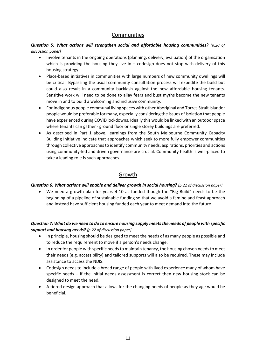# **Communities**

*Question 5: What actions will strengthen social and affordable housing communities? [p.20 of discussion paper]*

- Involve tenants in the ongoing operations (planning, delivery, evaluation) of the organisation which is providing the housing they live in – codesign does not stop with delivery of this housing strategy.
- Place-based initiatives in communities with large numbers of new community dwellings will be critical. Bypassing the usual community consultation process will expedite the build but could also result in a community backlash against the new affordable housing tenants. Sensitive work will need to be done to allay fears and bust myths become the new tenants move in and to build a welcoming and inclusive community.
- For Indigenous people communal living spaces with other Aboriginal and Torres Strait Islander people would be preferable for many, especially considering the issues of isolation that people have experienced during COVID lockdowns. Ideally this would be linked with an outdoor space where tenants can gather - ground floor or single storey buildings are preferred.
- As described in Part 1 above, learnings from the South Melbourne Community Capacity Building Initiative indicate that approaches which seek to more fully empower communities through collective approaches to identify community needs, aspirations, priorities and actions using community-led and driven governance are crucial. Community health is well-placed to take a leading role is such approaches.

# Growth

### *Question 6: What actions will enable and deliver growth in social housing? [p.22 of discussion paper]*

• We need a growth plan for years 4-10 as funded though the "Big Build" needs to be the beginning of a pipeline of sustainable funding so that we avoid a famine and feast approach and instead have sufficient housing funded each year to meet demand into the future.

### *Question 7: What do we need to do to ensure housing supply meets the needs of people with specific support and housing needs? [p.22 of discussion paper]*

- In principle, housing should be designed to meet the needs of as many people as possible and to reduce the requirement to move if a person's needs change.
- In order for people with specific needs to maintain tenancy, the housing chosen needs to meet their needs (e.g. accessibility) and tailored supports will also be required. These may include assistance to access the NDIS.
- Codesign needs to include a broad range of people with lived experience many of whom have specific needs – if the initial needs assessment is correct then new housing stock can be designed to meet the need.
- A tiered design approach that allows for the changing needs of people as they age would be beneficial.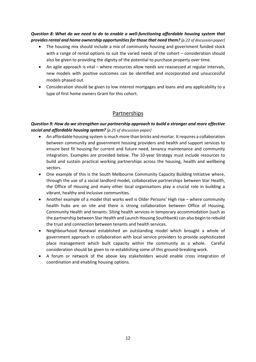*Question 8: What do we need to do to enable a well-functioning affordable housing system that provides rental and home ownership opportunities for those that need them? [p.22 of discussion paper]*

- The housing mix should include a mix of community housing and government funded stock with a range of rental options to suit the varied needs of the cohort – consideration should also be given to providing the dignity of the potential to purchase property over time.
- An agile approach is vital where resources allow needs are reassessed at regular intervals, new models with positive outcomes can be identified and incorporated and unsuccessful models phased out.
- Consideration should be given to low interest mortgages and loans and any applicability to a type of first home owners Grant for this cohort.

# Partnerships

### *Question 9: How do we strengthen our partnership approach to build a stronger and more effective social and affordable housing system? [p.25 of discussion paper]*

- An affordable housing system is much more than bricks and mortar. It requires a collaboration between community and government housing providers and health and support services to ensure best fit housing for current and future need, tenancy maintenance and community integration. Examples are provided below. The 10-year Strategy must include resources to build and sustain practical working partnerships across the housing, health and wellbeing sectors.
- One example of this is the South Melbourne Community Capacity Building Initiative where, through the use of a social landlord model, collaborative partnerships between Star Health, the Office of Housing and many other local organisations play a crucial role in building a vibrant, healthy and inclusive communities.
- Another example of a model that works well is Older Persons' High rise where community health hubs are on site and there is strong collaboration between Office of Housing, Community Health and tenants. Siting health services in temporary accommodation (such as the partnership between Star Health and Launch Housing Southbank) can also begin to rebuild the trust and connection between tenants and health services.
- Neighbourhood Renewal established an outstanding model which brought a whole of government approach in collaboration with local service providers to provide sophisticated place management which built capacity within the community as a whole. Careful consideration should be given to re-establishing some of this ground-breaking work.
- A forum or network of the above key stakeholders would enable cross integration of coordination and enabling housing options.